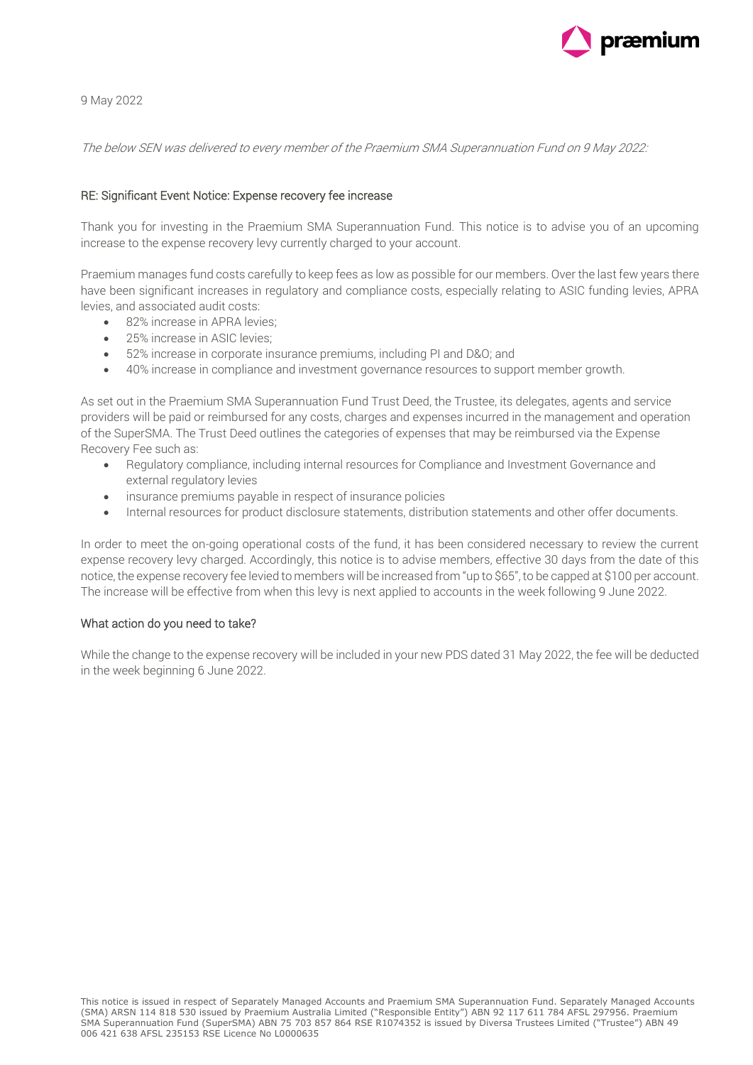

9 May 2022

The below SEN was delivered to every member of the Praemium SMA Superannuation Fund on 9 May 2022:

## RE: Significant Event Notice: Expense recovery fee increase

Thank you for investing in the Praemium SMA Superannuation Fund. This notice is to advise you of an upcoming increase to the expense recovery levy currently charged to your account.

Praemium manages fund costs carefully to keep fees as low as possible for our members. Over the last few years there have been significant increases in regulatory and compliance costs, especially relating to ASIC funding levies, APRA levies, and associated audit costs:

- 82% increase in APRA levies;
- 25% increase in ASIC levies;
- 52% increase in corporate insurance premiums, including PI and D&O; and
- 40% increase in compliance and investment governance resources to support member growth.

As set out in the Praemium SMA Superannuation Fund Trust Deed, the Trustee, its delegates, agents and service providers will be paid or reimbursed for any costs, charges and expenses incurred in the management and operation of the SuperSMA. The Trust Deed outlines the categories of expenses that may be reimbursed via the Expense Recovery Fee such as:

- Regulatory compliance, including internal resources for Compliance and Investment Governance and external regulatory levies
- insurance premiums payable in respect of insurance policies
- Internal resources for product disclosure statements, distribution statements and other offer documents.

In order to meet the on-going operational costs of the fund, it has been considered necessary to review the current expense recovery levy charged. Accordingly, this notice is to advise members, effective 30 days from the date of this notice, the expense recovery fee levied to members will be increased from "up to \$65", to be capped at \$100 per account. The increase will be effective from when this levy is next applied to accounts in the week following 9 June 2022.

## What action do you need to take?

While the change to the expense recovery will be included in your new PDS dated 31 May 2022, the fee will be deducted in the week beginning 6 June 2022.